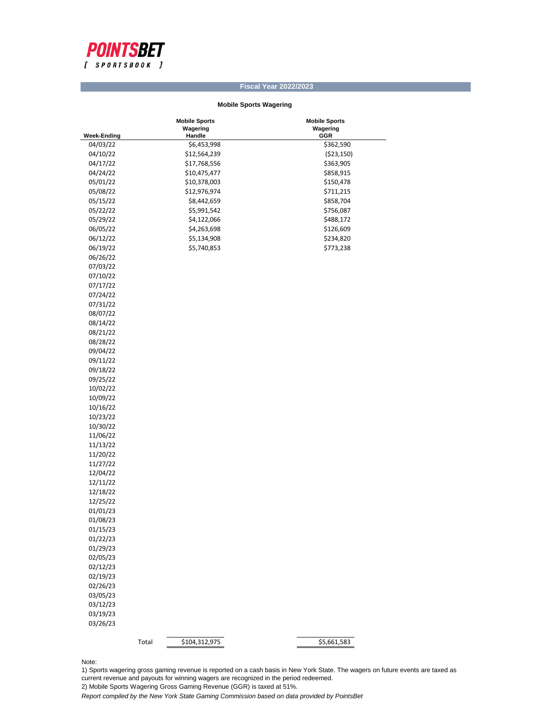

## **Fiscal Year 2022/2023**

## **Mobile Sports Wagering**

|                    | <b>Mobile Sports</b>   | <b>Mobile Sports</b> |
|--------------------|------------------------|----------------------|
|                    | Wagering               | Wagering             |
| <b>Week-Ending</b> | Handle                 | GGR                  |
| 04/03/22           | \$6,453,998            | \$362,590            |
| 04/10/22           | \$12,564,239           | ( \$23,150)          |
| 04/17/22           | \$17,768,556           | \$363,905            |
| 04/24/22           | \$10,475,477           | \$858,915            |
| 05/01/22           | \$10,378,003           | \$150,478            |
| 05/08/22           | \$12,976,974           | \$711,215            |
| 05/15/22           | \$8,442,659            | \$858,704            |
| 05/22/22           | \$5,991,542            | \$756,087            |
| 05/29/22           | \$4,122,066            | \$488,172            |
| 06/05/22           | \$4,263,698            | \$126,609            |
| 06/12/22           | \$5,134,908            | \$234,820            |
| 06/19/22           | \$5,740,853            | \$773,238            |
|                    |                        |                      |
| 06/26/22           |                        |                      |
| 07/03/22           |                        |                      |
| 07/10/22           |                        |                      |
| 07/17/22           |                        |                      |
| 07/24/22           |                        |                      |
| 07/31/22           |                        |                      |
| 08/07/22           |                        |                      |
| 08/14/22           |                        |                      |
| 08/21/22           |                        |                      |
| 08/28/22           |                        |                      |
| 09/04/22           |                        |                      |
| 09/11/22           |                        |                      |
| 09/18/22           |                        |                      |
| 09/25/22           |                        |                      |
| 10/02/22           |                        |                      |
| 10/09/22           |                        |                      |
| 10/16/22           |                        |                      |
| 10/23/22           |                        |                      |
| 10/30/22           |                        |                      |
| 11/06/22           |                        |                      |
| 11/13/22           |                        |                      |
| 11/20/22           |                        |                      |
| 11/27/22           |                        |                      |
|                    |                        |                      |
| 12/04/22           |                        |                      |
| 12/11/22           |                        |                      |
| 12/18/22           |                        |                      |
| 12/25/22           |                        |                      |
| 01/01/23           |                        |                      |
| 01/08/23           |                        |                      |
| 01/15/23           |                        |                      |
| 01/22/23           |                        |                      |
| 01/29/23           |                        |                      |
| 02/05/23           |                        |                      |
| 02/12/23           |                        |                      |
| 02/19/23           |                        |                      |
| 02/26/23           |                        |                      |
| 03/05/23           |                        |                      |
| 03/12/23           |                        |                      |
| 03/19/23           |                        |                      |
| 03/26/23           |                        |                      |
|                    |                        |                      |
|                    | Total<br>\$104,312,975 | \$5,661,583          |
|                    |                        |                      |

Note:

1) Sports wagering gross gaming revenue is reported on a cash basis in New York State. The wagers on future events are taxed as current revenue and payouts for winning wagers are recognized in the period redeemed.

2) Mobile Sports Wagering Gross Gaming Revenue (GGR) is taxed at 51%.

*Report compiled by the New York State Gaming Commission based on data provided by PointsBet*